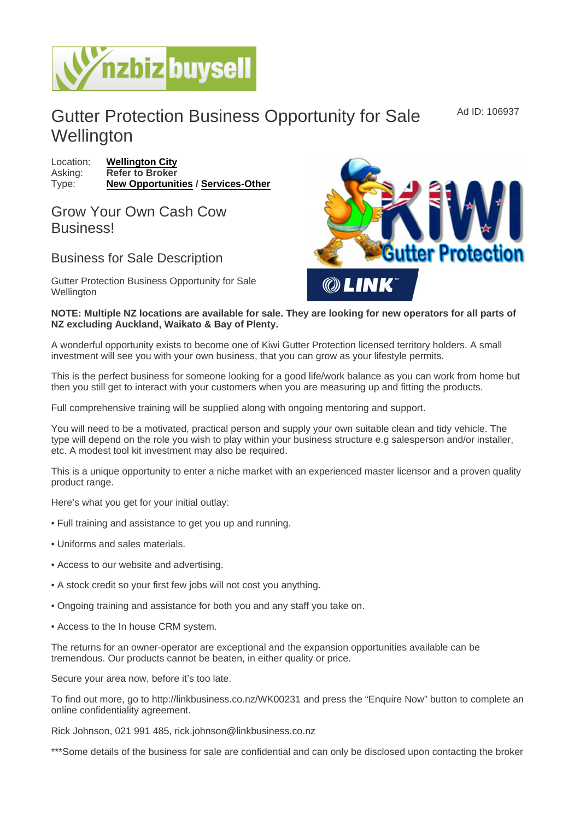## Gutter Protection Business Opportunity for Sale **Wellington**

Location: [Wellington City](https://www.nzbizbuysell.co.nz/businesses-for-sale/location/Wellington-City) Asking: Refer to Broker Type: [New Opportunities](https://www.nzbizbuysell.co.nz/businesses-for-sale/New-Opportunities/New-Zealand) / [Services-Other](https://www.nzbizbuysell.co.nz/businesses-for-sale/Services/New-Zealand)

## Grow Your Own Cash Cow **Business!**

## Business for Sale Description

Gutter Protection Business Opportunity for Sale **Wellington** 

NOTE: Multiple NZ locations are available for sale. They are looking for new operators for all parts of NZ excluding Auckland, Waikato & Bay of Plenty.

A wonderful opportunity exists to become one of Kiwi Gutter Protection licensed territory holders. A small investment will see you with your own business, that you can grow as your lifestyle permits.

This is the perfect business for someone looking for a good life/work balance as you can work from home but then you still get to interact with your customers when you are measuring up and fitting the products.

Full comprehensive training will be supplied along with ongoing mentoring and support.

You will need to be a motivated, practical person and supply your own suitable clean and tidy vehicle. The type will depend on the role you wish to play within your business structure e.g salesperson and/or installer, etc. A modest tool kit investment may also be required.

This is a unique opportunity to enter a niche market with an experienced master licensor and a proven quality product range.

Here's what you get for your initial outlay:

- Full training and assistance to get you up and running.
- Uniforms and sales materials.
- Access to our website and advertising.
- A stock credit so your first few jobs will not cost you anything.
- Ongoing training and assistance for both you and any staff you take on.
- Access to the In house CRM system.

The returns for an owner-operator are exceptional and the expansion opportunities available can be tremendous. Our products cannot be beaten, in either quality or price.

Secure your area now, before it's too late.

To find out more, go to http://linkbusiness.co.nz/WK00231 and press the "Enquire Now" button to complete an online confidentiality agreement.

Rick Johnson, 021 991 485, rick.johnson@linkbusiness.co.nz

\*\*\*Some details of the business for sale are confidential and can only be disclosed upon contacting the broker